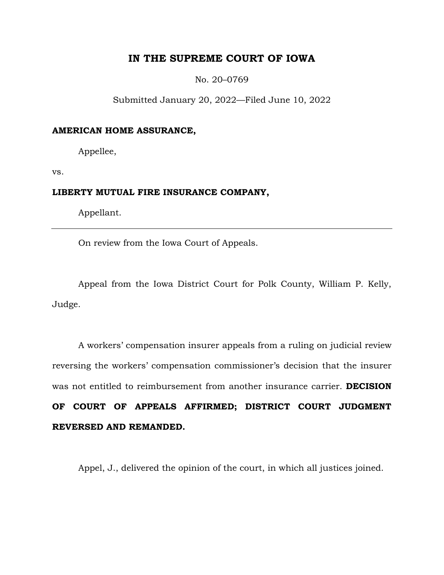# **IN THE SUPREME COURT OF IOWA**

No. 20–0769

Submitted January 20, 2022—Filed June 10, 2022

## **AMERICAN HOME ASSURANCE,**

Appellee,

vs.

# **LIBERTY MUTUAL FIRE INSURANCE COMPANY,**

Appellant.

On review from the Iowa Court of Appeals.

Appeal from the Iowa District Court for Polk County, William P. Kelly, Judge.

A workers' compensation insurer appeals from a ruling on judicial review reversing the workers' compensation commissioner's decision that the insurer was not entitled to reimbursement from another insurance carrier. **DECISION OF COURT OF APPEALS AFFIRMED; DISTRICT COURT JUDGMENT REVERSED AND REMANDED.** 

Appel, J., delivered the opinion of the court, in which all justices joined.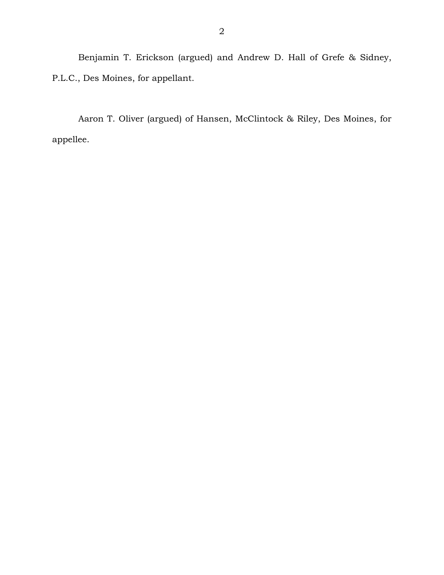Benjamin T. Erickson (argued) and Andrew D. Hall of Grefe & Sidney, P.L.C., Des Moines, for appellant.

Aaron T. Oliver (argued) of Hansen, McClintock & Riley, Des Moines, for appellee.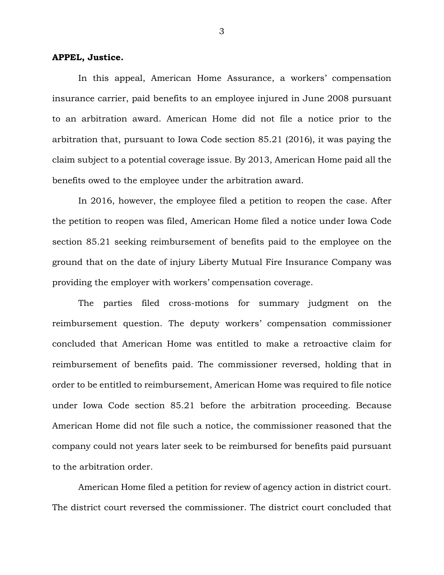#### **APPEL, Justice.**

In this appeal, American Home Assurance, a workers' compensation insurance carrier, paid benefits to an employee injured in June 2008 pursuant to an arbitration award. American Home did not file a notice prior to the arbitration that, pursuant to Iowa Code section 85.21 (2016), it was paying the claim subject to a potential coverage issue. By 2013, American Home paid all the benefits owed to the employee under the arbitration award.

In 2016, however, the employee filed a petition to reopen the case. After the petition to reopen was filed, American Home filed a notice under Iowa Code section 85.21 seeking reimbursement of benefits paid to the employee on the ground that on the date of injury Liberty Mutual Fire Insurance Company was providing the employer with workers' compensation coverage.

The parties filed cross-motions for summary judgment on the reimbursement question. The deputy workers' compensation commissioner concluded that American Home was entitled to make a retroactive claim for reimbursement of benefits paid. The commissioner reversed, holding that in order to be entitled to reimbursement, American Home was required to file notice under Iowa Code section 85.21 before the arbitration proceeding. Because American Home did not file such a notice, the commissioner reasoned that the company could not years later seek to be reimbursed for benefits paid pursuant to the arbitration order.

American Home filed a petition for review of agency action in district court. The district court reversed the commissioner. The district court concluded that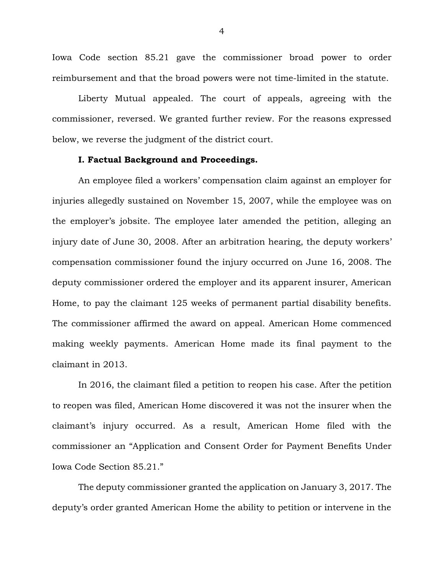Iowa Code section 85.21 gave the commissioner broad power to order reimbursement and that the broad powers were not time-limited in the statute.

Liberty Mutual appealed. The court of appeals, agreeing with the commissioner, reversed. We granted further review. For the reasons expressed below, we reverse the judgment of the district court.

# **I. Factual Background and Proceedings.**

An employee filed a workers' compensation claim against an employer for injuries allegedly sustained on November 15, 2007, while the employee was on the employer's jobsite. The employee later amended the petition, alleging an injury date of June 30, 2008. After an arbitration hearing, the deputy workers' compensation commissioner found the injury occurred on June 16, 2008. The deputy commissioner ordered the employer and its apparent insurer, American Home, to pay the claimant 125 weeks of permanent partial disability benefits. The commissioner affirmed the award on appeal. American Home commenced making weekly payments. American Home made its final payment to the claimant in 2013.

In 2016, the claimant filed a petition to reopen his case. After the petition to reopen was filed, American Home discovered it was not the insurer when the claimant's injury occurred. As a result, American Home filed with the commissioner an "Application and Consent Order for Payment Benefits Under Iowa Code Section 85.21."

The deputy commissioner granted the application on January 3, 2017. The deputy's order granted American Home the ability to petition or intervene in the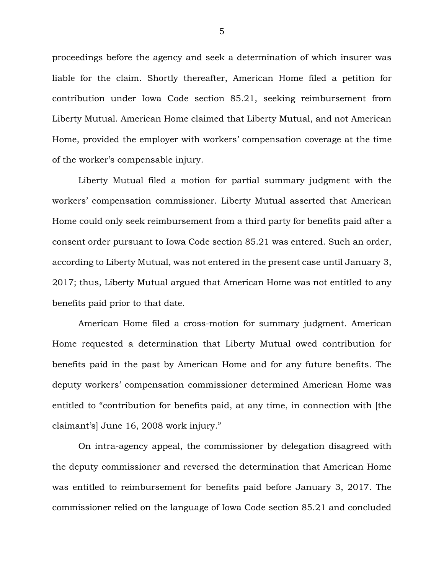proceedings before the agency and seek a determination of which insurer was liable for the claim. Shortly thereafter, American Home filed a petition for contribution under Iowa Code section 85.21, seeking reimbursement from Liberty Mutual. American Home claimed that Liberty Mutual, and not American Home, provided the employer with workers' compensation coverage at the time of the worker's compensable injury.

Liberty Mutual filed a motion for partial summary judgment with the workers' compensation commissioner. Liberty Mutual asserted that American Home could only seek reimbursement from a third party for benefits paid after a consent order pursuant to Iowa Code section 85.21 was entered. Such an order, according to Liberty Mutual, was not entered in the present case until January 3, 2017; thus, Liberty Mutual argued that American Home was not entitled to any benefits paid prior to that date.

American Home filed a cross-motion for summary judgment. American Home requested a determination that Liberty Mutual owed contribution for benefits paid in the past by American Home and for any future benefits. The deputy workers' compensation commissioner determined American Home was entitled to "contribution for benefits paid, at any time, in connection with [the claimant's] June 16, 2008 work injury."

On intra-agency appeal, the commissioner by delegation disagreed with the deputy commissioner and reversed the determination that American Home was entitled to reimbursement for benefits paid before January 3, 2017. The commissioner relied on the language of Iowa Code section 85.21 and concluded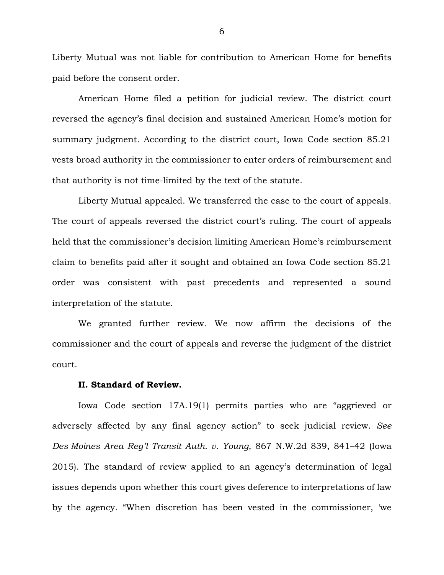Liberty Mutual was not liable for contribution to American Home for benefits paid before the consent order.

American Home filed a petition for judicial review. The district court reversed the agency's final decision and sustained American Home's motion for summary judgment. According to the district court, Iowa Code section 85.21 vests broad authority in the commissioner to enter orders of reimbursement and that authority is not time-limited by the text of the statute.

Liberty Mutual appealed. We transferred the case to the court of appeals. The court of appeals reversed the district court's ruling. The court of appeals held that the commissioner's decision limiting American Home's reimbursement claim to benefits paid after it sought and obtained an Iowa Code section 85.21 order was consistent with past precedents and represented a sound interpretation of the statute.

We granted further review. We now affirm the decisions of the commissioner and the court of appeals and reverse the judgment of the district court.

## **II. Standard of Review.**

 Iowa Code section 17A.19(1) permits parties who are "aggrieved or adversely affected by any final agency action" to seek judicial review. *See Des Moines Area Reg'l Transit Auth. v. Young*, 867 N.W.2d 839, 841–42 (Iowa 2015). The standard of review applied to an agency's determination of legal issues depends upon whether this court gives deference to interpretations of law by the agency. "When discretion has been vested in the commissioner, 'we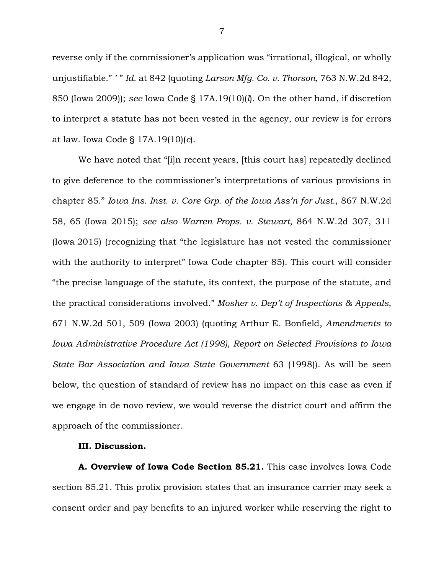reverse only if the commissioner's application was "irrational, illogical, or wholly unjustifiable." ' " *Id.* at 842 (quoting *Larson Mfg. Co. v. Thorson*, 763 N.W.2d 842, 850 (Iowa 2009)); *see* Iowa Code § 17A.19(10)(*l*). On the other hand, if discretion to interpret a statute has not been vested in the agency, our review is for errors at law. Iowa Code § 17A.19(10)(*c*).

We have noted that "[i]n recent years, [this court has] repeatedly declined to give deference to the commissioner's interpretations of various provisions in chapter 85." *Iowa Ins. Inst. v. Core Grp. of the Iowa Ass'n for Just.*, 867 N.W.2d 58, 65 (Iowa 2015); *see also Warren Props. v. Stewart*, 864 N.W.2d 307, 311 (Iowa 2015) (recognizing that "the legislature has not vested the commissioner with the authority to interpret" Iowa Code chapter 85). This court will consider "the precise language of the statute, its context, the purpose of the statute, and the practical considerations involved." *Mosher v. Dep't of Inspections & Appeals*, 671 N.W.2d 501, 509 (Iowa 2003) (quoting Arthur E. Bonfield, *Amendments to Iowa Administrative Procedure Act (1998), Report on Selected Provisions to Iowa State Bar Association and Iowa State Government* 63 (1998)). As will be seen below, the question of standard of review has no impact on this case as even if we engage in de novo review, we would reverse the district court and affirm the approach of the commissioner.

## **III. Discussion.**

**A. Overview of Iowa Code Section 85.21.** This case involves Iowa Code section 85.21. This prolix provision states that an insurance carrier may seek a consent order and pay benefits to an injured worker while reserving the right to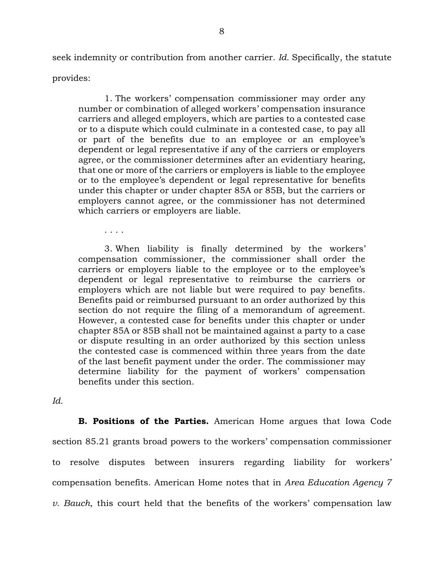seek indemnity or contribution from another carrier. *Id.* Specifically, the statute provides:

1. The workers' compensation commissioner may order any number or combination of alleged workers' compensation insurance carriers and alleged employers, which are parties to a contested case or to a dispute which could culminate in a contested case, to pay all or part of the benefits due to an employee or an employee's dependent or legal representative if any of the carriers or employers agree, or the commissioner determines after an evidentiary hearing, that one or more of the carriers or employers is liable to the employee or to the employee's dependent or legal representative for benefits under this chapter or under chapter 85A or 85B, but the carriers or employers cannot agree, or the commissioner has not determined which carriers or employers are liable.

3. When liability is finally determined by the workers' compensation commissioner, the commissioner shall order the carriers or employers liable to the employee or to the employee's dependent or legal representative to reimburse the carriers or employers which are not liable but were required to pay benefits. Benefits paid or reimbursed pursuant to an order authorized by this section do not require the filing of a memorandum of agreement. However, a contested case for benefits under this chapter or under chapter 85A or 85B shall not be maintained against a party to a case or dispute resulting in an order authorized by this section unless the contested case is commenced within three years from the date of the last benefit payment under the order. The commissioner may determine liability for the payment of workers' compensation benefits under this section.

*Id.*

. . . .

**B. Positions of the Parties.** American Home argues that Iowa Code section 85.21 grants broad powers to the workers' compensation commissioner to resolve disputes between insurers regarding liability for workers' compensation benefits. American Home notes that in *Area Education Agency 7 v. Bauch*, this court held that the benefits of the workers' compensation law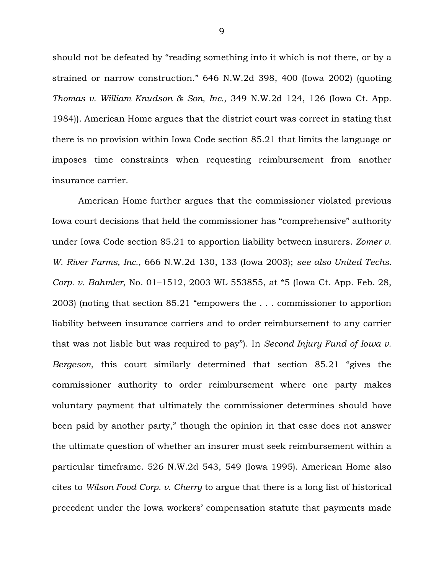should not be defeated by "reading something into it which is not there, or by a strained or narrow construction." 646 N.W.2d 398, 400 (Iowa 2002) (quoting *Thomas v. William Knudson & Son, Inc.*, 349 N.W.2d 124, 126 (Iowa Ct. App. 1984)). American Home argues that the district court was correct in stating that there is no provision within Iowa Code section 85.21 that limits the language or imposes time constraints when requesting reimbursement from another insurance carrier.

American Home further argues that the commissioner violated previous Iowa court decisions that held the commissioner has "comprehensive" authority under Iowa Code section 85.21 to apportion liability between insurers. *Zomer v. W. River Farms, Inc.*, 666 N.W.2d 130, 133 (Iowa 2003); *see also United Techs. Corp. v. Bahmler*, No. 01–1512, 2003 WL 553855, at \*5 (Iowa Ct. App. Feb. 28, 2003) (noting that section 85.21 "empowers the . . . commissioner to apportion liability between insurance carriers and to order reimbursement to any carrier that was not liable but was required to pay"). In *Second Injury Fund of Iowa v. Bergeson*, this court similarly determined that section 85.21 "gives the commissioner authority to order reimbursement where one party makes voluntary payment that ultimately the commissioner determines should have been paid by another party," though the opinion in that case does not answer the ultimate question of whether an insurer must seek reimbursement within a particular timeframe. 526 N.W.2d 543, 549 (Iowa 1995). American Home also cites to *Wilson Food Corp. v. Cherry* to argue that there is a long list of historical precedent under the Iowa workers' compensation statute that payments made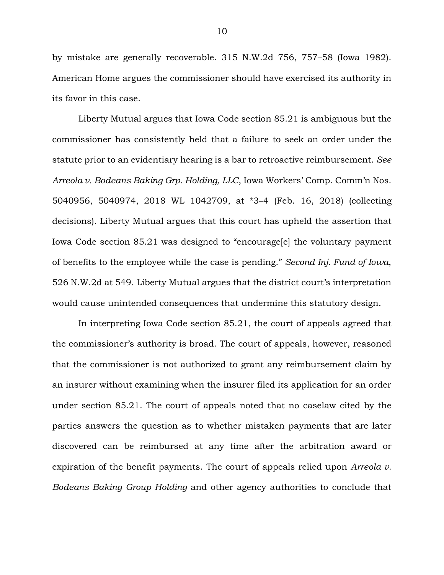by mistake are generally recoverable. 315 N.W.2d 756, 757–58 (Iowa 1982). American Home argues the commissioner should have exercised its authority in its favor in this case.

Liberty Mutual argues that Iowa Code section 85.21 is ambiguous but the commissioner has consistently held that a failure to seek an order under the statute prior to an evidentiary hearing is a bar to retroactive reimbursement. *See Arreola v. Bodeans Baking Grp. Holding, LLC*, Iowa Workers' Comp. Comm'n Nos. 5040956, 5040974, 2018 WL 1042709, at \*3–4 (Feb. 16, 2018) (collecting decisions). Liberty Mutual argues that this court has upheld the assertion that Iowa Code section 85.21 was designed to "encourage[e] the voluntary payment of benefits to the employee while the case is pending." *Second Inj. Fund of Iowa*, 526 N.W.2d at 549. Liberty Mutual argues that the district court's interpretation would cause unintended consequences that undermine this statutory design.

In interpreting Iowa Code section 85.21, the court of appeals agreed that the commissioner's authority is broad. The court of appeals, however, reasoned that the commissioner is not authorized to grant any reimbursement claim by an insurer without examining when the insurer filed its application for an order under section 85.21. The court of appeals noted that no caselaw cited by the parties answers the question as to whether mistaken payments that are later discovered can be reimbursed at any time after the arbitration award or expiration of the benefit payments. The court of appeals relied upon *Arreola v. Bodeans Baking Group Holding* and other agency authorities to conclude that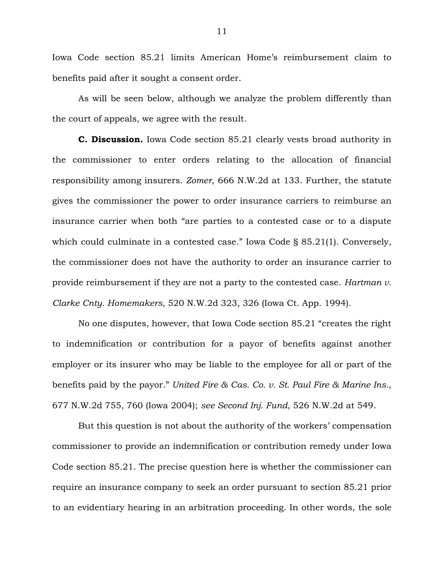Iowa Code section 85.21 limits American Home's reimbursement claim to benefits paid after it sought a consent order.

As will be seen below, although we analyze the problem differently than the court of appeals, we agree with the result.

**C. Discussion.** Iowa Code section 85.21 clearly vests broad authority in the commissioner to enter orders relating to the allocation of financial responsibility among insurers. *Zomer*, 666 N.W.2d at 133. Further, the statute gives the commissioner the power to order insurance carriers to reimburse an insurance carrier when both "are parties to a contested case or to a dispute which could culminate in a contested case." Iowa Code § 85.21(1). Conversely, the commissioner does not have the authority to order an insurance carrier to provide reimbursement if they are not a party to the contested case. *Hartman v. Clarke Cnty. Homemakers*, 520 N.W.2d 323, 326 (Iowa Ct. App. 1994).

No one disputes, however, that Iowa Code section 85.21 "creates the right to indemnification or contribution for a payor of benefits against another employer or its insurer who may be liable to the employee for all or part of the benefits paid by the payor." *United Fire & Cas. Co. v. St. Paul Fire & Marine Ins.*, 677 N.W.2d 755, 760 (Iowa 2004); *see Second Inj. Fund*, 526 N.W.2d at 549.

But this question is not about the authority of the workers' compensation commissioner to provide an indemnification or contribution remedy under Iowa Code section 85.21. The precise question here is whether the commissioner can require an insurance company to seek an order pursuant to section 85.21 prior to an evidentiary hearing in an arbitration proceeding. In other words, the sole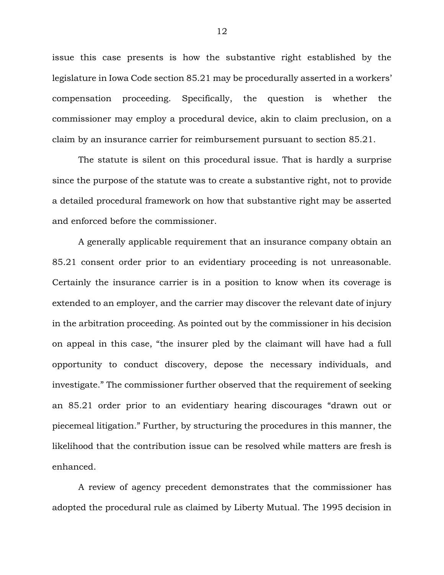issue this case presents is how the substantive right established by the legislature in Iowa Code section 85.21 may be procedurally asserted in a workers' compensation proceeding. Specifically, the question is whether the commissioner may employ a procedural device, akin to claim preclusion, on a claim by an insurance carrier for reimbursement pursuant to section 85.21.

The statute is silent on this procedural issue. That is hardly a surprise since the purpose of the statute was to create a substantive right, not to provide a detailed procedural framework on how that substantive right may be asserted and enforced before the commissioner.

A generally applicable requirement that an insurance company obtain an 85.21 consent order prior to an evidentiary proceeding is not unreasonable. Certainly the insurance carrier is in a position to know when its coverage is extended to an employer, and the carrier may discover the relevant date of injury in the arbitration proceeding. As pointed out by the commissioner in his decision on appeal in this case, "the insurer pled by the claimant will have had a full opportunity to conduct discovery, depose the necessary individuals, and investigate." The commissioner further observed that the requirement of seeking an 85.21 order prior to an evidentiary hearing discourages "drawn out or piecemeal litigation." Further, by structuring the procedures in this manner, the likelihood that the contribution issue can be resolved while matters are fresh is enhanced.

A review of agency precedent demonstrates that the commissioner has adopted the procedural rule as claimed by Liberty Mutual. The 1995 decision in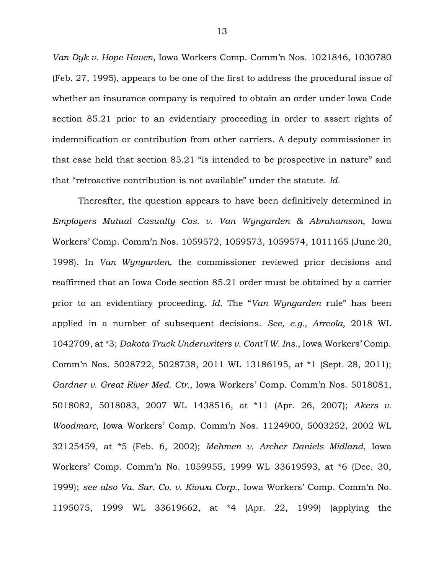*Van Dyk v. Hope Haven*, Iowa Workers Comp. Comm'n Nos. 1021846, 1030780 (Feb. 27, 1995), appears to be one of the first to address the procedural issue of whether an insurance company is required to obtain an order under Iowa Code section 85.21 prior to an evidentiary proceeding in order to assert rights of indemnification or contribution from other carriers. A deputy commissioner in that case held that section 85.21 "is intended to be prospective in nature" and that "retroactive contribution is not available" under the statute. *Id.*

Thereafter, the question appears to have been definitively determined in *Employers Mutual Casualty Cos. v. Van Wyngarden & Abrahamson*, Iowa Workers' Comp. Comm'n Nos. 1059572, 1059573, 1059574, 1011165 (June 20, 1998). In *Van Wyngarden*, the commissioner reviewed prior decisions and reaffirmed that an Iowa Code section 85.21 order must be obtained by a carrier prior to an evidentiary proceeding. *Id.* The "*Van Wyngarden* rule" has been applied in a number of subsequent decisions. *See, e.g.*, *Arreola*, 2018 WL 1042709, at \*3; *Dakota Truck Underwriters v. Cont'l W. Ins.*, Iowa Workers' Comp. Comm'n Nos. 5028722, 5028738, 2011 WL 13186195, at \*1 (Sept. 28, 2011); *Gardner v. Great River Med. Ctr.*, Iowa Workers' Comp. Comm'n Nos. 5018081, 5018082, 5018083, 2007 WL 1438516, at \*11 (Apr. 26, 2007); *Akers v. Woodmarc*, Iowa Workers' Comp. Comm'n Nos. 1124900, 5003252, 2002 WL 32125459, at \*5 (Feb. 6, 2002); *Mehmen v. Archer Daniels Midland*, Iowa Workers' Comp. Comm'n No. 1059955, 1999 WL 33619593, at \*6 (Dec. 30, 1999); *see also Va. Sur. Co. v. Kiowa Corp.*, Iowa Workers' Comp. Comm'n No. 1195075, 1999 WL 33619662, at \*4 (Apr. 22, 1999) (applying the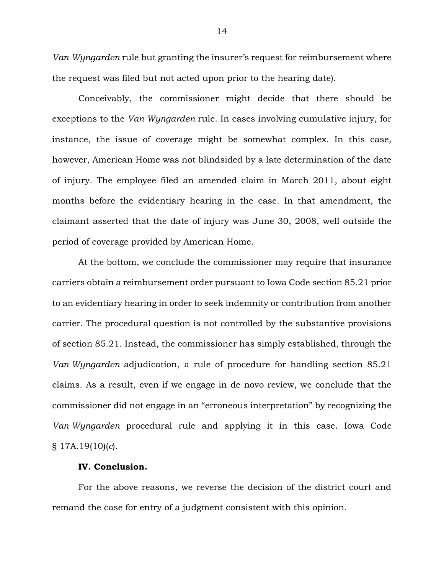*Van Wyngarden* rule but granting the insurer's request for reimbursement where the request was filed but not acted upon prior to the hearing date).

Conceivably, the commissioner might decide that there should be exceptions to the *Van Wyngarden* rule. In cases involving cumulative injury, for instance, the issue of coverage might be somewhat complex. In this case, however, American Home was not blindsided by a late determination of the date of injury. The employee filed an amended claim in March 2011, about eight months before the evidentiary hearing in the case. In that amendment, the claimant asserted that the date of injury was June 30, 2008, well outside the period of coverage provided by American Home.

At the bottom, we conclude the commissioner may require that insurance carriers obtain a reimbursement order pursuant to Iowa Code section 85.21 prior to an evidentiary hearing in order to seek indemnity or contribution from another carrier. The procedural question is not controlled by the substantive provisions of section 85.21. Instead, the commissioner has simply established, through the *Van Wyngarden* adjudication, a rule of procedure for handling section 85.21 claims. As a result, even if we engage in de novo review, we conclude that the commissioner did not engage in an "erroneous interpretation" by recognizing the *Van Wyngarden* procedural rule and applying it in this case. Iowa Code § 17A.19(10)(*c*).

# **IV. Conclusion.**

For the above reasons, we reverse the decision of the district court and remand the case for entry of a judgment consistent with this opinion.